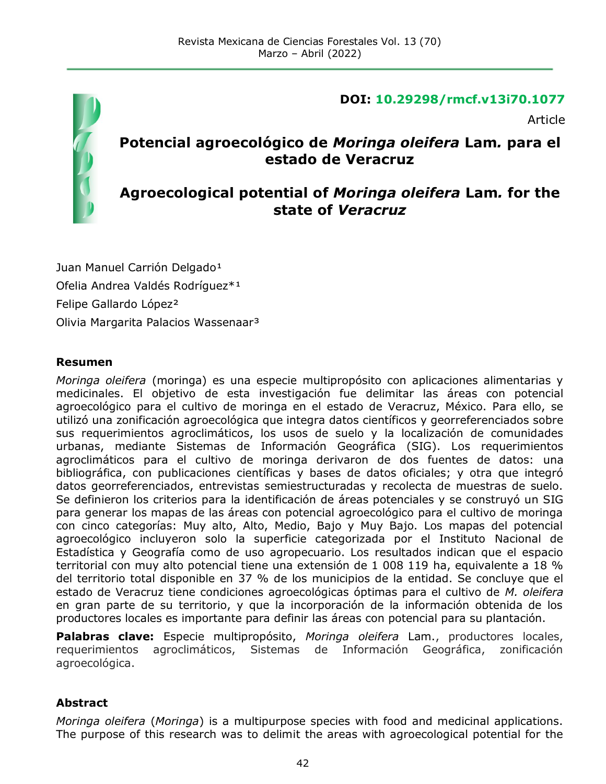

#### **DOI: 10.29298/rmcf.v13i70.1077**

Article

## **Potencial agroecológico de** *Moringa oleifera* **Lam***.* **para el estado de Veracruz**

### **Agroecological potential of** *Moringa oleifera* **Lam***.* **for the state of** *Veracruz*

Juan Manuel Carrión Delgado<sup>1</sup> Ofelia Andrea Valdés Rodríguez\*<sup>1</sup> Felipe Gallardo López² Olivia Margarita Palacios Wassenaar³

#### **Resumen**

*Moringa oleifera* (moringa) es una especie multipropósito con aplicaciones alimentarias y medicinales. El objetivo de esta investigación fue delimitar las áreas con potencial agroecológico para el cultivo de moringa en el estado de Veracruz, México. Para ello, se utilizó una zonificación agroecológica que integra datos científicos y georreferenciados sobre sus requerimientos agroclimáticos, los usos de suelo y la localización de comunidades urbanas, mediante Sistemas de Información Geográfica (SIG). Los requerimientos agroclimáticos para el cultivo de moringa derivaron de dos fuentes de datos: una bibliográfica, con publicaciones científicas y bases de datos oficiales; y otra que integró datos georreferenciados, entrevistas semiestructuradas y recolecta de muestras de suelo. Se definieron los criterios para la identificación de áreas potenciales y se construyó un SIG para generar los mapas de las áreas con potencial agroecológico para el cultivo de moringa con cinco categorías: Muy alto, Alto, Medio, Bajo y Muy Bajo. Los mapas del potencial agroecológico incluyeron solo la superficie categorizada por el Instituto Nacional de Estadística y Geografía como de uso agropecuario. Los resultados indican que el espacio territorial con muy alto potencial tiene una extensión de 1 008 119 ha, equivalente a 18 % del territorio total disponible en 37 % de los municipios de la entidad. Se concluye que el estado de Veracruz tiene condiciones agroecológicas óptimas para el cultivo de *M. oleifera* en gran parte de su territorio, y que la incorporación de la información obtenida de los productores locales es importante para definir las áreas con potencial para su plantación.

**Palabras clave:** Especie multipropósito, *Moringa oleifera* Lam., productores locales, requerimientos agroclimáticos, Sistemas de Información Geográfica, zonificación agroecológica.

#### **Abstract**

*Moringa oleifera* (*Moringa*) is a multipurpose species with food and medicinal applications. The purpose of this research was to delimit the areas with agroecological potential for the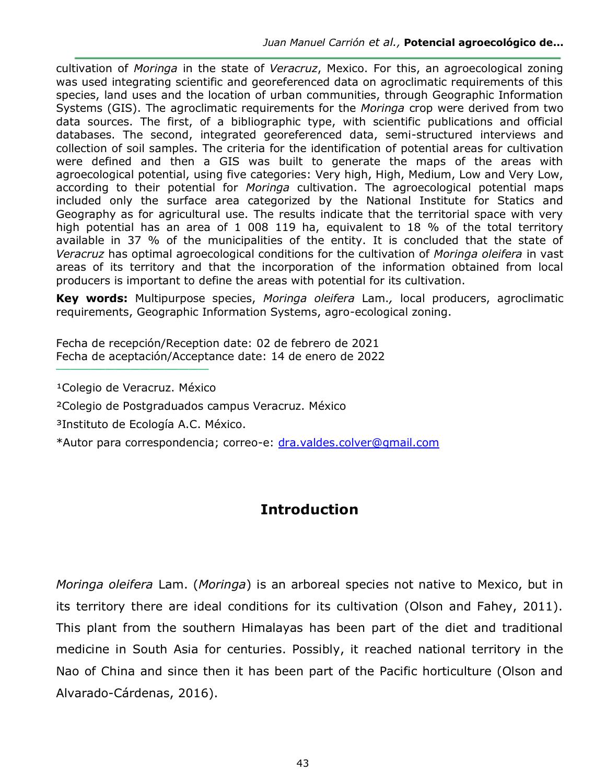cultivation of *Moringa* in the state of *Veracruz*, Mexico. For this, an agroecological zoning was used integrating scientific and georeferenced data on agroclimatic requirements of this species, land uses and the location of urban communities, through Geographic Information Systems (GIS). The agroclimatic requirements for the *Moringa* crop were derived from two data sources. The first, of a bibliographic type, with scientific publications and official databases. The second, integrated georeferenced data, semi-structured interviews and collection of soil samples. The criteria for the identification of potential areas for cultivation were defined and then a GIS was built to generate the maps of the areas with agroecological potential, using five categories: Very high, High, Medium, Low and Very Low, according to their potential for *Moringa* cultivation. The agroecological potential maps included only the surface area categorized by the National Institute for Statics and Geography as for agricultural use. The results indicate that the territorial space with very high potential has an area of 1 008 119 ha, equivalent to 18 % of the total territory available in 37 % of the municipalities of the entity. It is concluded that the state of *Veracruz* has optimal agroecological conditions for the cultivation of *Moringa oleifera* in vast areas of its territory and that the incorporation of the information obtained from local producers is important to define the areas with potential for its cultivation.

**Key words:** Multipurpose species, *Moringa oleifera* Lam.*,* local producers, agroclimatic requirements, Geographic Information Systems, agro-ecological zoning.

Fecha de recepción/Reception date: 02 de febrero de 2021 Fecha de aceptación/Acceptance date: 14 de enero de 2022 **\_\_\_\_\_\_\_\_\_\_\_\_\_\_\_\_\_\_\_\_\_\_\_\_\_\_\_\_\_\_\_**

<sup>1</sup>Colegio de Veracruz. México

²Colegio de Postgraduados campus Veracruz. México

³Instituto de Ecología A.C. México.

\*Autor para correspondencia; correo-e: [dra.valdes.colver@gmail.com](mailto:dra.valdes.colver@gmail.com)

## **Introduction**

*Moringa oleifera* Lam. (*Moringa*) is an arboreal species not native to Mexico, but in its territory there are ideal conditions for its cultivation (Olson and Fahey, 2011). This plant from the southern Himalayas has been part of the diet and traditional medicine in South Asia for centuries. Possibly, it reached national territory in the Nao of China and since then it has been part of the Pacific horticulture (Olson and Alvarado-Cárdenas, 2016).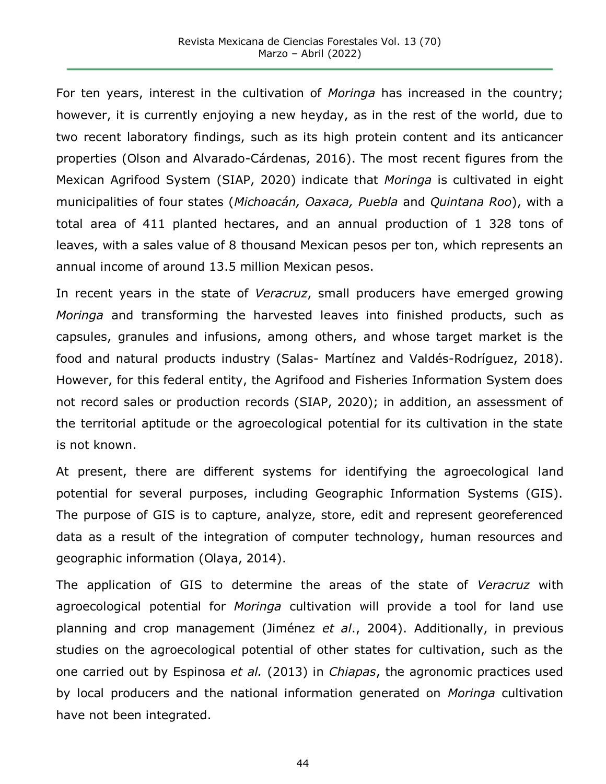For ten years, interest in the cultivation of *Moringa* has increased in the country; however, it is currently enjoying a new heyday, as in the rest of the world, due to two recent laboratory findings, such as its high protein content and its anticancer properties (Olson and Alvarado-Cárdenas, 2016). The most recent figures from the Mexican Agrifood System (SIAP, 2020) indicate that *Moringa* is cultivated in eight municipalities of four states (*Michoacán, Oaxaca, Puebla* and *Quintana Roo*), with a total area of 411 planted hectares, and an annual production of 1 328 tons of leaves, with a sales value of 8 thousand Mexican pesos per ton, which represents an annual income of around 13.5 million Mexican pesos.

In recent years in the state of *Veracruz*, small producers have emerged growing *Moringa* and transforming the harvested leaves into finished products, such as capsules, granules and infusions, among others, and whose target market is the food and natural products industry (Salas- Martínez and Valdés-Rodríguez, 2018). However, for this federal entity, the Agrifood and Fisheries Information System does not record sales or production records (SIAP, 2020); in addition, an assessment of the territorial aptitude or the agroecological potential for its cultivation in the state is not known.

At present, there are different systems for identifying the agroecological land potential for several purposes, including Geographic Information Systems (GIS). The purpose of GIS is to capture, analyze, store, edit and represent georeferenced data as a result of the integration of computer technology, human resources and geographic information (Olaya, 2014).

The application of GIS to determine the areas of the state of *Veracruz* with agroecological potential for *Moringa* cultivation will provide a tool for land use planning and crop management (Jiménez *et al*., 2004). Additionally, in previous studies on the agroecological potential of other states for cultivation, such as the one carried out by Espinosa *et al.* (2013) in *Chiapas*, the agronomic practices used by local producers and the national information generated on *Moringa* cultivation have not been integrated.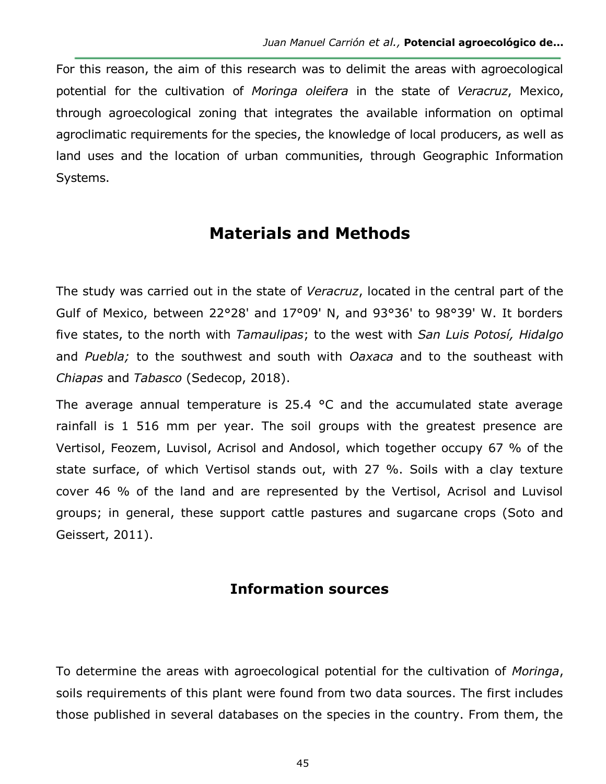For this reason, the aim of this research was to delimit the areas with agroecological potential for the cultivation of *Moringa oleifera* in the state of *Veracruz*, Mexico, through agroecological zoning that integrates the available information on optimal agroclimatic requirements for the species, the knowledge of local producers, as well as land uses and the location of urban communities, through Geographic Information Systems.

# **Materials and Methods**

The study was carried out in the state of *Veracruz*, located in the central part of the Gulf of Mexico, between 22°28' and 17°09' N, and 93°36' to 98°39' W. It borders five states, to the north with *Tamaulipas*; to the west with *San Luis Potosí, Hidalgo* and *Puebla;* to the southwest and south with *Oaxaca* and to the southeast with *Chiapas* and *Tabasco* (Sedecop, 2018).

The average annual temperature is 25.4  $\degree$ C and the accumulated state average rainfall is 1 516 mm per year. The soil groups with the greatest presence are Vertisol, Feozem, Luvisol, Acrisol and Andosol, which together occupy 67 % of the state surface, of which Vertisol stands out, with 27 %. Soils with a clay texture cover 46 % of the land and are represented by the Vertisol, Acrisol and Luvisol groups; in general, these support cattle pastures and sugarcane crops (Soto and Geissert, 2011).

## **Information sources**

To determine the areas with agroecological potential for the cultivation of *Moringa*, soils requirements of this plant were found from two data sources. The first includes those published in several databases on the species in the country. From them, the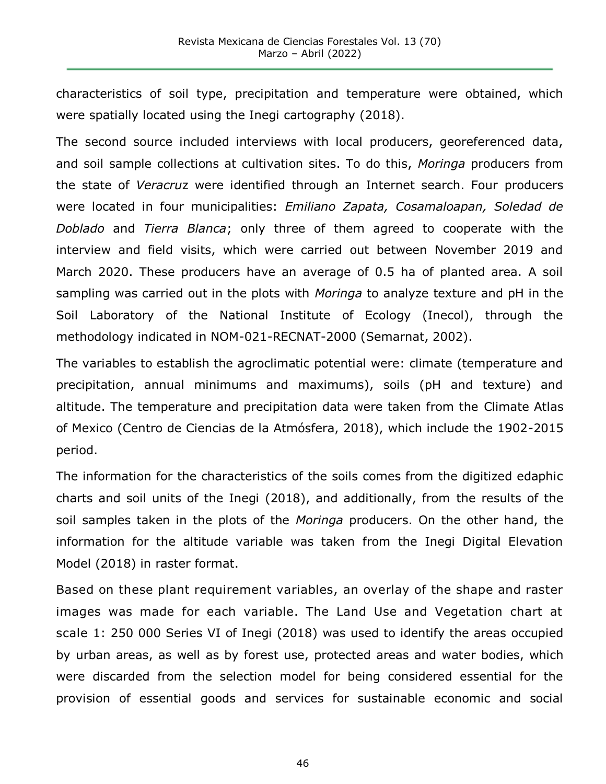characteristics of soil type, precipitation and temperature were obtained, which were spatially located using the Inegi cartography (2018).

The second source included interviews with local producers, georeferenced data, and soil sample collections at cultivation sites. To do this, *Moringa* producers from the state of *Veracru*z were identified through an Internet search. Four producers were located in four municipalities: *Emiliano Zapata, Cosamaloapan, Soledad de Doblado* and *Tierra Blanca*; only three of them agreed to cooperate with the interview and field visits, which were carried out between November 2019 and March 2020. These producers have an average of 0.5 ha of planted area. A soil sampling was carried out in the plots with *Moringa* to analyze texture and pH in the Soil Laboratory of the National Institute of Ecology (Inecol), through the methodology indicated in NOM-021-RECNAT-2000 (Semarnat, 2002).

The variables to establish the agroclimatic potential were: climate (temperature and precipitation, annual minimums and maximums), soils (pH and texture) and altitude. The temperature and precipitation data were taken from the Climate Atlas of Mexico (Centro de Ciencias de la Atmósfera, 2018), which include the 1902-2015 period.

The information for the characteristics of the soils comes from the digitized edaphic charts and soil units of the Inegi (2018), and additionally, from the results of the soil samples taken in the plots of the *Moringa* producers. On the other hand, the information for the altitude variable was taken from the Inegi Digital Elevation Model (2018) in raster format.

Based on these plant requirement variables, an overlay of the shape and raster images was made for each variable. The Land Use and Vegetation chart at scale 1: 250 000 Series VI of Inegi (2018) was used to identify the areas occupied by urban areas, as well as by forest use, protected areas and water bodies, which were discarded from the selection model for being considered essential for the provision of essential goods and services for sustainable economic and social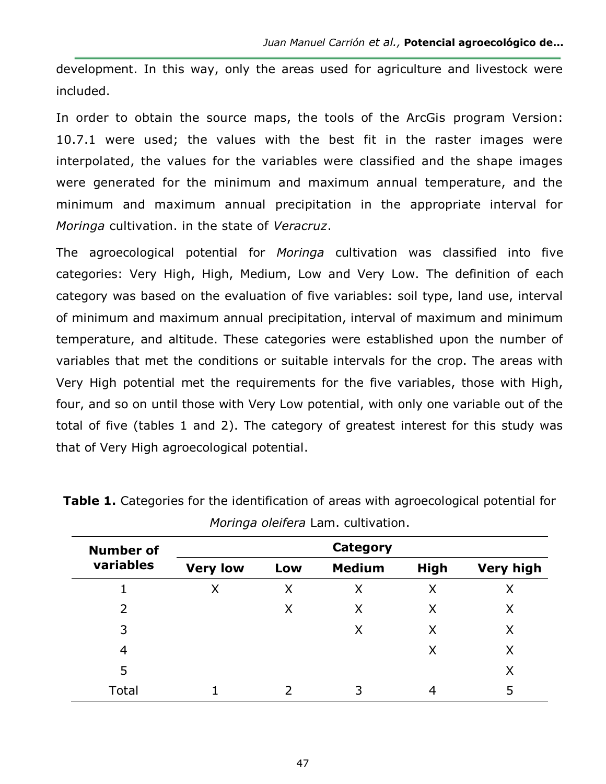development. In this way, only the areas used for agriculture and livestock were included.

In order to obtain the source maps, the tools of the ArcGis program Version: 10.7.1 were used; the values with the best fit in the raster images were interpolated, the values for the variables were classified and the shape images were generated for the minimum and maximum annual temperature, and the minimum and maximum annual precipitation in the appropriate interval for *Moringa* cultivation. in the state of *Veracruz*.

The agroecological potential for *Moringa* cultivation was classified into five categories: Very High, High, Medium, Low and Very Low. The definition of each category was based on the evaluation of five variables: soil type, land use, interval of minimum and maximum annual precipitation, interval of maximum and minimum temperature, and altitude. These categories were established upon the number of variables that met the conditions or suitable intervals for the crop. The areas with Very High potential met the requirements for the five variables, those with High, four, and so on until those with Very Low potential, with only one variable out of the total of five (tables 1 and 2). The category of greatest interest for this study was that of Very High agroecological potential.

| <b>Number of</b> |                 |     | <b>Category</b> |             |                  |
|------------------|-----------------|-----|-----------------|-------------|------------------|
| variables        | <b>Very low</b> | Low | <b>Medium</b>   | <b>High</b> | <b>Very high</b> |
|                  | Χ               | Χ   | Χ               | Χ           | Х                |
| 2                |                 | Χ   | X               | Χ           | Χ                |
| 3                |                 |     | Χ               | X           | Χ                |
| 4                |                 |     |                 | Χ           | Χ                |
| 5                |                 |     |                 |             | Χ                |
| Total            |                 |     | 3               | 4           | 5                |

**Table 1.** Categories for the identification of areas with agroecological potential for *Moringa oleifera* Lam. cultivation.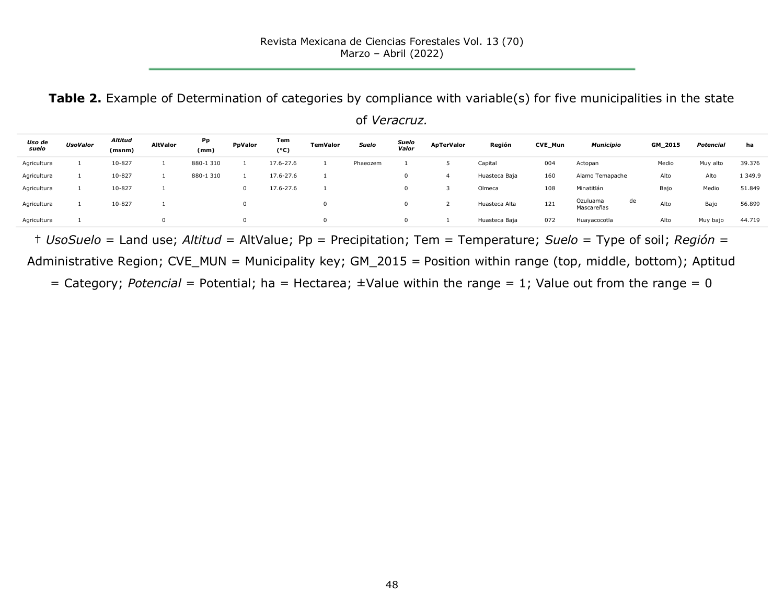**Table 2.** Example of Determination of categories by compliance with variable(s) for five municipalities in the state of *Veracruz.*

| Uso de<br>suelo | UsoValor | Altitud<br>(msnm) | <b>AltValor</b> | Pp<br>(mm) | PpValor      | Tem<br>(°c) | <b>TemValor</b> | Suelo    | Suelo<br>Valor | <b>ApTerValor</b> | Región        | CVE_Mun | <b>Municipio</b>       |    | GM_2015 | Potencial | ha      |
|-----------------|----------|-------------------|-----------------|------------|--------------|-------------|-----------------|----------|----------------|-------------------|---------------|---------|------------------------|----|---------|-----------|---------|
| Agricultura     |          | 10-827            |                 | 880-1310   |              | 17.6-27.6   |                 | Phaeozem |                |                   | Capital       | 004     | Actopan                |    | Medio   | Muy alto  | 39.376  |
| Agricultura     |          | 10-827            |                 | 880-1310   |              | 17.6-27.6   |                 |          |                |                   | Huasteca Baja | 160     | Alamo Temapache        |    | Alto    | Alto      | 1 349.9 |
| Agricultura     |          | 10-827            |                 |            | $\mathbf{0}$ | 17.6-27.6   |                 |          |                |                   | Olmeca        | 108     | Minatitlán             |    | Bajo    | Medio     | 51.849  |
| Agricultura     |          | 10-827            |                 |            |              |             |                 |          |                |                   | Huasteca Alta | 121     | Ozuluama<br>Mascareñas | de | Alto    | Bajo      | 56.899  |
| Agricultura     |          |                   |                 |            |              |             | $\Omega$        |          |                |                   | Huasteca Baja | 072     | Huayacocotla           |    | Alto    | Muy bajo  | 44.719  |

† *UsoSuelo* = Land use; *Altitud* = AltValue; Pp = Precipitation; Tem = Temperature; *Suelo* = Type of soil; *Región* = Administrative Region; CVE\_MUN = Municipality key; GM\_2015 = Position within range (top, middle, bottom); Aptitud

= Category; *Potencial =* Potential; ha = Hectarea; ±Value within the range = 1; Value out from the range = 0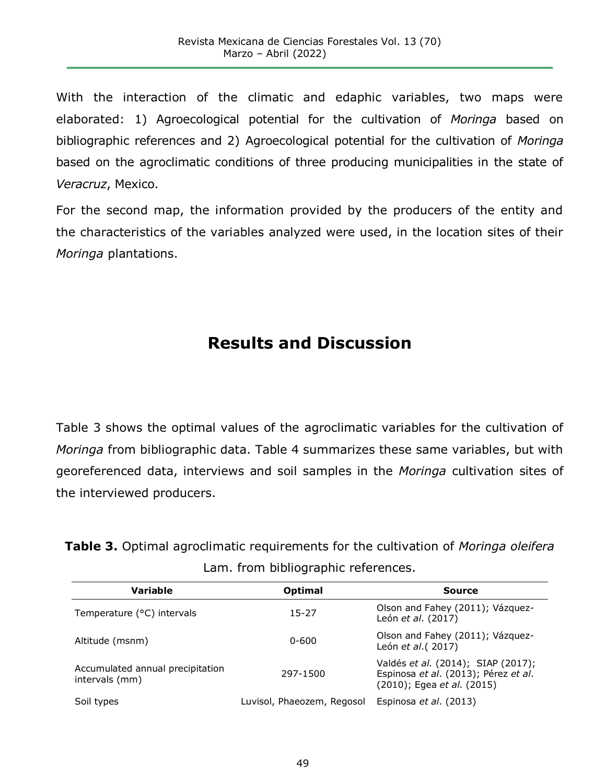With the interaction of the climatic and edaphic variables, two maps were elaborated: 1) Agroecological potential for the cultivation of *Moringa* based on bibliographic references and 2) Agroecological potential for the cultivation of *Moringa* based on the agroclimatic conditions of three producing municipalities in the state of *Veracruz*, Mexico.

For the second map, the information provided by the producers of the entity and the characteristics of the variables analyzed were used, in the location sites of their *Moringa* plantations.

# **Results and Discussion**

Table 3 shows the optimal values of the agroclimatic variables for the cultivation of *Moringa* from bibliographic data. Table 4 summarizes these same variables, but with georeferenced data, interviews and soil samples in the *Moringa* cultivation sites of the interviewed producers.

**Table 3.** Optimal agroclimatic requirements for the cultivation of *Moringa oleifera* Lam. from bibliographic references.

| <b>Variable</b>                                    | <b>Optimal</b>             | Source                                                                                                   |
|----------------------------------------------------|----------------------------|----------------------------------------------------------------------------------------------------------|
| Temperature (°C) intervals                         | $15 - 27$                  | Olson and Fahey (2011); Vázquez-<br>León et al. (2017)                                                   |
| Altitude (msnm)                                    | $0 - 600$                  | Olson and Fahey (2011); Vázquez-<br>León et al. (2017)                                                   |
| Accumulated annual precipitation<br>intervals (mm) | 297-1500                   | Valdés et al. (2014); SIAP (2017);<br>Espinosa et al. (2013); Pérez et al.<br>(2010); Egea et al. (2015) |
| Soil types                                         | Luvisol, Phaeozem, Regosol | Espinosa <i>et al.</i> (2013)                                                                            |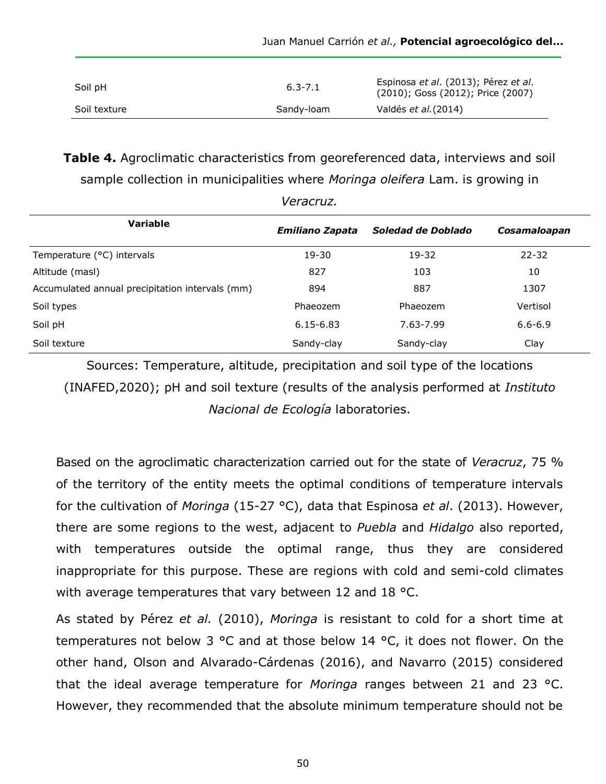| Soil pH      | $6.3 - 7.1$ | Espinosa et al. (2013); Pérez et al.<br>(2010); Goss (2012); Price (2007) |
|--------------|-------------|---------------------------------------------------------------------------|
| Soil texture | Sandy-loam  | Valdés <i>et al.</i> (2014)                                               |

**Table 4.** Agroclimatic characteristics from georeferenced data, interviews and soil sample collection in municipalities where *Moringa oleifera* Lam. is growing in

*Veracruz.*

| Variable                                        | Emiliano Zapata | Soledad de Doblado | Cosamaloapan |
|-------------------------------------------------|-----------------|--------------------|--------------|
| Temperature (°C) intervals                      | $19 - 30$       | 19-32              | $22 - 32$    |
| Altitude (masl)                                 | 827             | 103                | 10           |
| Accumulated annual precipitation intervals (mm) | 894             | 887                | 1307         |
| Soil types                                      | Phaeozem        | Phaeozem           | Vertisol     |
| Soil pH                                         | $6.15 - 6.83$   | 7.63-7.99          | $6.6 - 6.9$  |
| Soil texture                                    | Sandy-clay      | Sandy-clay         | Clay         |

Sources: Temperature, altitude, precipitation and soil type of the locations (INAFED,2020); pH and soil texture (results of the analysis performed at *Instituto Nacional de Ecología* laboratories.

Based on the agroclimatic characterization carried out for the state of *Veracruz*, 75 % of the territory of the entity meets the optimal conditions of temperature intervals for the cultivation of *Moringa* (15-27 °C), data that Espinosa *et al*. (2013). However, there are some regions to the west, adjacent to *Puebla* and *Hidalgo* also reported, with temperatures outside the optimal range, thus they are considered inappropriate for this purpose. These are regions with cold and semi-cold climates with average temperatures that vary between 12 and 18 °C.

As stated by Pérez *et al.* (2010), *Moringa* is resistant to cold for a short time at temperatures not below 3 °C and at those below 14 °C, it does not flower. On the other hand, Olson and Alvarado-Cárdenas (2016), and Navarro (2015) considered that the ideal average temperature for *Moringa* ranges between 21 and 23 °C. However, they recommended that the absolute minimum temperature should not be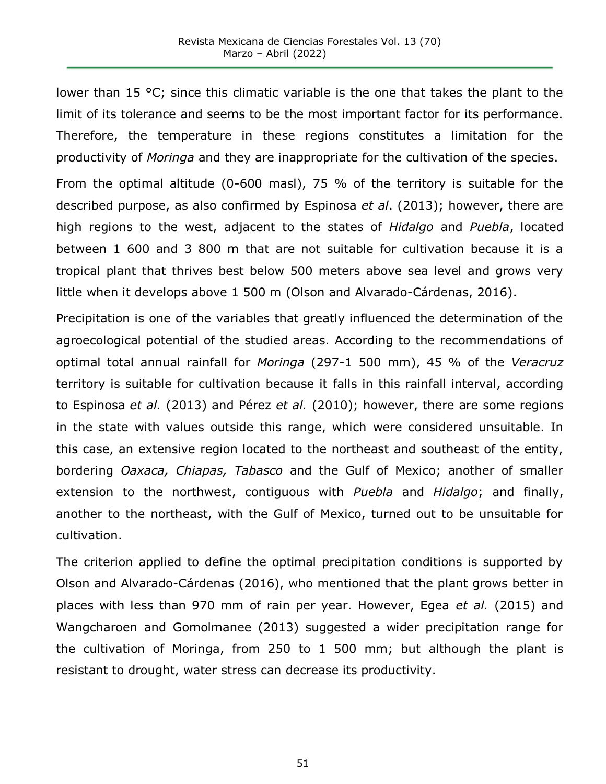lower than 15 °C; since this climatic variable is the one that takes the plant to the limit of its tolerance and seems to be the most important factor for its performance. Therefore, the temperature in these regions constitutes a limitation for the productivity of *Moringa* and they are inappropriate for the cultivation of the species.

From the optimal altitude (0-600 masl), 75 % of the territory is suitable for the described purpose, as also confirmed by Espinosa *et al*. (2013); however, there are high regions to the west, adjacent to the states of *Hidalgo* and *Puebla*, located between 1 600 and 3 800 m that are not suitable for cultivation because it is a tropical plant that thrives best below 500 meters above sea level and grows very little when it develops above 1 500 m (Olson and Alvarado-Cárdenas, 2016).

Precipitation is one of the variables that greatly influenced the determination of the agroecological potential of the studied areas. According to the recommendations of optimal total annual rainfall for *Moringa* (297-1 500 mm), 45 % of the *Veracruz* territory is suitable for cultivation because it falls in this rainfall interval, according to Espinosa *et al.* (2013) and Pérez *et al.* (2010); however, there are some regions in the state with values outside this range, which were considered unsuitable. In this case, an extensive region located to the northeast and southeast of the entity, bordering *Oaxaca, Chiapas, Tabasco* and the Gulf of Mexico; another of smaller extension to the northwest, contiguous with *Puebla* and *Hidalgo*; and finally, another to the northeast, with the Gulf of Mexico, turned out to be unsuitable for cultivation.

The criterion applied to define the optimal precipitation conditions is supported by Olson and Alvarado-Cárdenas (2016), who mentioned that the plant grows better in places with less than 970 mm of rain per year. However, Egea *et al.* (2015) and Wangcharoen and Gomolmanee (2013) suggested a wider precipitation range for the cultivation of Moringa, from 250 to 1 500 mm; but although the plant is resistant to drought, water stress can decrease its productivity.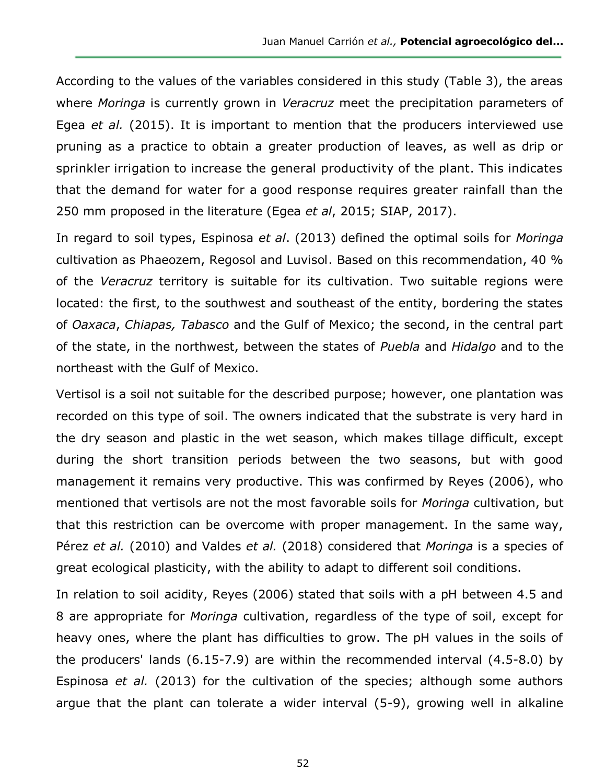According to the values of the variables considered in this study (Table 3), the areas where *Moringa* is currently grown in *Veracruz* meet the precipitation parameters of Egea *et al.* (2015). It is important to mention that the producers interviewed use pruning as a practice to obtain a greater production of leaves, as well as drip or sprinkler irrigation to increase the general productivity of the plant. This indicates that the demand for water for a good response requires greater rainfall than the 250 mm proposed in the literature (Egea *et al*, 2015; SIAP, 2017).

In regard to soil types, Espinosa *et al*. (2013) defined the optimal soils for *Moringa* cultivation as Phaeozem, Regosol and Luvisol. Based on this recommendation, 40 % of the *Veracruz* territory is suitable for its cultivation. Two suitable regions were located: the first, to the southwest and southeast of the entity, bordering the states of *Oaxaca*, *Chiapas, Tabasco* and the Gulf of Mexico; the second, in the central part of the state, in the northwest, between the states of *Puebla* and *Hidalgo* and to the northeast with the Gulf of Mexico.

Vertisol is a soil not suitable for the described purpose; however, one plantation was recorded on this type of soil. The owners indicated that the substrate is very hard in the dry season and plastic in the wet season, which makes tillage difficult, except during the short transition periods between the two seasons, but with good management it remains very productive. This was confirmed by Reyes (2006), who mentioned that vertisols are not the most favorable soils for *Moringa* cultivation, but that this restriction can be overcome with proper management. In the same way, Pérez *et al.* (2010) and Valdes *et al.* (2018) considered that *Moringa* is a species of great ecological plasticity, with the ability to adapt to different soil conditions.

In relation to soil acidity, Reyes (2006) stated that soils with a pH between 4.5 and 8 are appropriate for *Moringa* cultivation, regardless of the type of soil, except for heavy ones, where the plant has difficulties to grow. The pH values in the soils of the producers' lands (6.15-7.9) are within the recommended interval (4.5-8.0) by Espinosa *et al.* (2013) for the cultivation of the species; although some authors argue that the plant can tolerate a wider interval (5-9), growing well in alkaline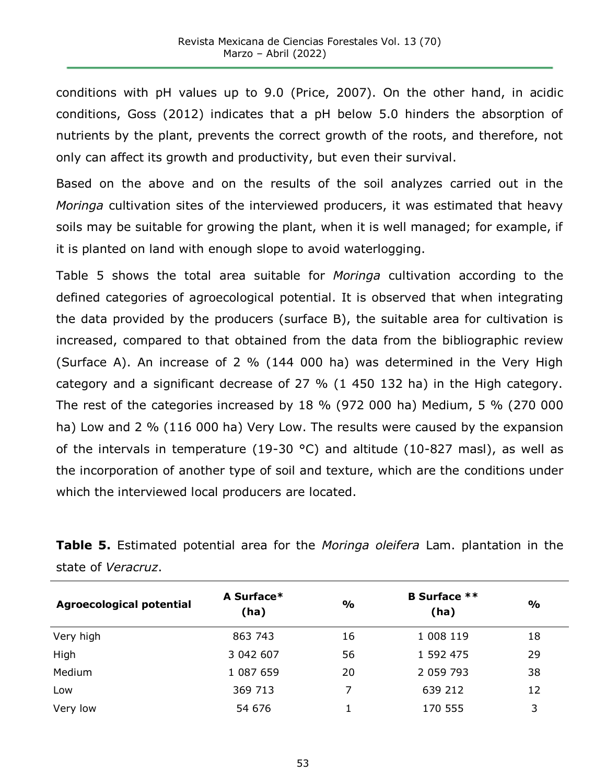conditions with pH values up to 9.0 (Price, 2007). On the other hand, in acidic conditions, Goss (2012) indicates that a pH below 5.0 hinders the absorption of nutrients by the plant, prevents the correct growth of the roots, and therefore, not only can affect its growth and productivity, but even their survival.

Based on the above and on the results of the soil analyzes carried out in the *Moringa* cultivation sites of the interviewed producers, it was estimated that heavy soils may be suitable for growing the plant, when it is well managed; for example, if it is planted on land with enough slope to avoid waterlogging.

Table 5 shows the total area suitable for *Moringa* cultivation according to the defined categories of agroecological potential. It is observed that when integrating the data provided by the producers (surface B), the suitable area for cultivation is increased, compared to that obtained from the data from the bibliographic review (Surface A). An increase of 2 % (144 000 ha) was determined in the Very High category and a significant decrease of 27 % (1 450 132 ha) in the High category. The rest of the categories increased by 18 % (972 000 ha) Medium, 5 % (270 000 ha) Low and 2 % (116 000 ha) Very Low. The results were caused by the expansion of the intervals in temperature (19-30 °C) and altitude (10-827 masl), as well as the incorporation of another type of soil and texture, which are the conditions under which the interviewed local producers are located.

**Table 5.** Estimated potential area for the *Moringa oleifera* Lam. plantation in the state of *Veracruz*.

| <b>Agroecological potential</b> | A Surface*<br>(ha) | $\frac{0}{0}$ | <b>B</b> Surface **<br>(ha) | $\frac{1}{2}$ |
|---------------------------------|--------------------|---------------|-----------------------------|---------------|
| Very high                       | 863 743            | 16            | 1 008 119                   | 18            |
| High                            | 3 042 607          | 56            | 1 592 475                   | 29            |
| Medium                          | 1 087 659          | 20            | 2 059 793                   | 38            |
| Low                             | 369 713            | 7             | 639 212                     | 12            |
| Very low                        | 54 676             |               | 170 555                     | 3             |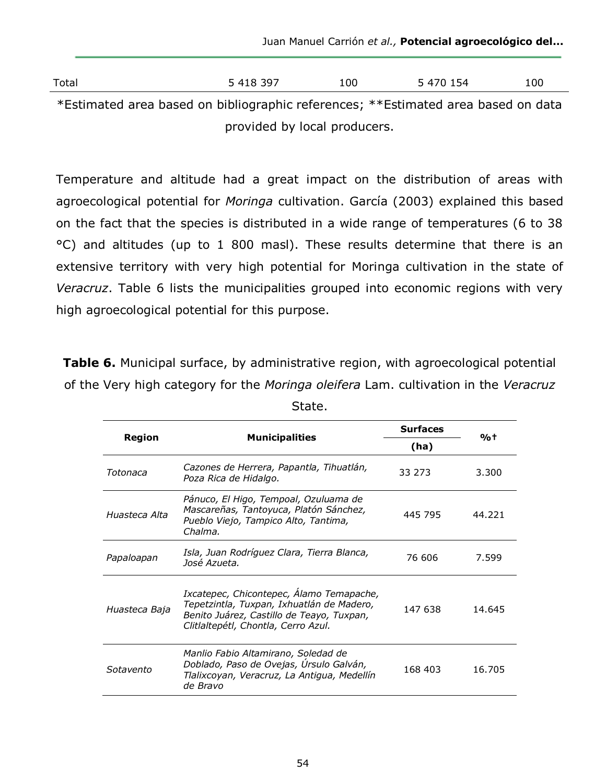Juan Manuel Carrión *et al.,* **Potencial agroecológico del...**

| Total                                                                             | 5 418 397 | 100 | 5 470 154 | 100 |
|-----------------------------------------------------------------------------------|-----------|-----|-----------|-----|
| *Estimated area based on bibliographic references; **Estimated area based on data |           |     |           |     |

provided by local producers.

Temperature and altitude had a great impact on the distribution of areas with agroecological potential for *Moringa* cultivation. García (2003) explained this based on the fact that the species is distributed in a wide range of temperatures (6 to 38 °C) and altitudes (up to 1 800 masl). These results determine that there is an extensive territory with very high potential for Moringa cultivation in the state of *Veracruz*. Table 6 lists the municipalities grouped into economic regions with very high agroecological potential for this purpose.

**Table 6.** Municipal surface, by administrative region, with agroecological potential of the Very high category for the *Moringa oleifera* Lam. cultivation in the *Veracruz*

|               |                                                                                                                                                                           | <b>Surfaces</b> | %†     |
|---------------|---------------------------------------------------------------------------------------------------------------------------------------------------------------------------|-----------------|--------|
| <b>Region</b> | <b>Municipalities</b>                                                                                                                                                     | (ha)            |        |
| Totonaca      | Cazones de Herrera, Papantla, Tihuatlán,<br>Poza Rica de Hidalgo.                                                                                                         | 33 273          | 3.300  |
| Huasteca Alta | Pánuco, El Higo, Tempoal, Ozuluama de<br>Mascareñas, Tantoyuca, Platón Sánchez,<br>Pueblo Viejo, Tampico Alto, Tantima,<br>Chalma.                                        | 445 795         | 44.221 |
| Papaloapan    | Isla, Juan Rodríguez Clara, Tierra Blanca,<br>José Azueta.                                                                                                                | 76 606          | 7.599  |
| Huasteca Baja | Ixcatepec, Chicontepec, Álamo Temapache,<br>Tepetzintla, Tuxpan, Ixhuatlán de Madero,<br>Benito Juárez, Castillo de Teayo, Tuxpan,<br>Clitlaltepétl, Chontla, Cerro Azul. | 147 638         | 14.645 |
| Sotavento     | Manlio Fabio Altamirano, Soledad de<br>Doblado, Paso de Ovejas, Úrsulo Galván,<br>Tlalixcoyan, Veracruz, La Antigua, Medellín<br>de Bravo                                 | 168 403         | 16.705 |

State.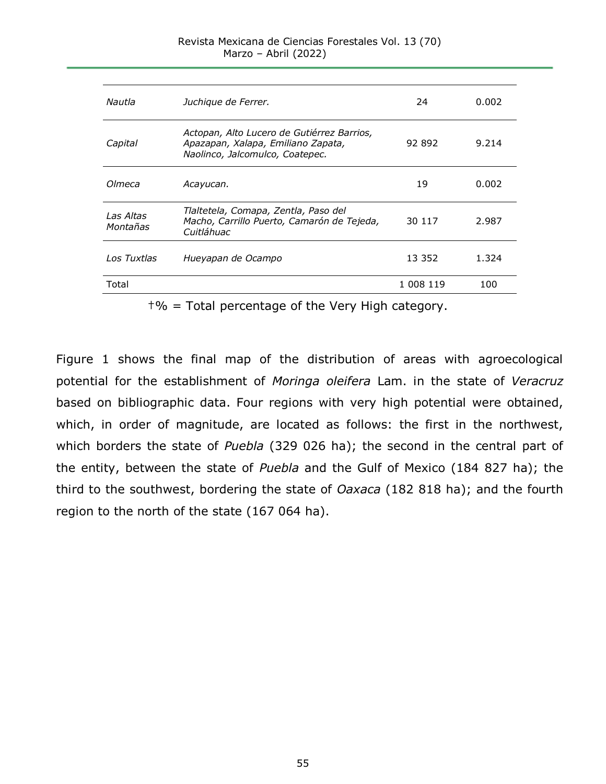| Juchique de Ferrer.                                                                                                 | 24        | 0.002 |
|---------------------------------------------------------------------------------------------------------------------|-----------|-------|
| Actopan, Alto Lucero de Gutiérrez Barrios,<br>Apazapan, Xalapa, Emiliano Zapata,<br>Naolinco, Jalcomulco, Coatepec. | 92 892    | 9.214 |
| Acayucan.                                                                                                           | 19        | 0.002 |
| Tlaltetela, Comapa, Zentla, Paso del<br>Macho, Carrillo Puerto, Camarón de Tejeda,<br>Cuitláhuac                    | 30 117    | 2.987 |
| Hueyapan de Ocampo                                                                                                  | 13 3 5 2  | 1.324 |
|                                                                                                                     | 1 008 119 | 100   |
|                                                                                                                     |           |       |

 $\dagger\%$  = Total percentage of the Very High category.

Figure 1 shows the final map of the distribution of areas with agroecological potential for the establishment of *Moringa oleifera* Lam. in the state of *Veracruz* based on bibliographic data. Four regions with very high potential were obtained, which, in order of magnitude, are located as follows: the first in the northwest, which borders the state of *Puebla* (329 026 ha); the second in the central part of the entity, between the state of *Puebla* and the Gulf of Mexico (184 827 ha); the third to the southwest, bordering the state of *Oaxaca* (182 818 ha); and the fourth region to the north of the state (167 064 ha).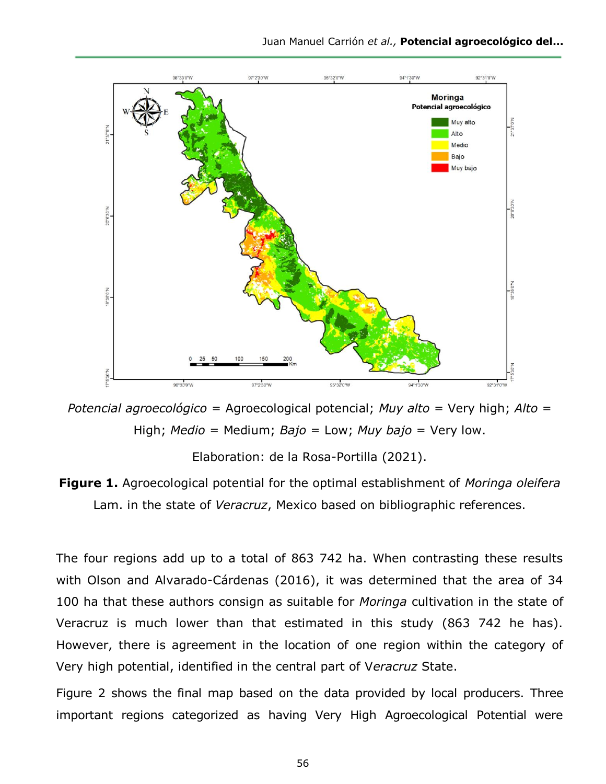

*Potencial agroecológico =* Agroecological potencial; *Muy alto* = Very high; *Alto =*  High; *Medio* = Medium; *Bajo* = Low; *Muy bajo* = Very low.

Elaboration: de la Rosa-Portilla (2021).



The four regions add up to a total of 863 742 ha. When contrasting these results with Olson and Alvarado-Cárdenas (2016), it was determined that the area of 34 100 ha that these authors consign as suitable for *Moringa* cultivation in the state of Veracruz is much lower than that estimated in this study (863 742 he has). However, there is agreement in the location of one region within the category of Very high potential, identified in the central part of V*eracruz* State.

Figure 2 shows the final map based on the data provided by local producers. Three important regions categorized as having Very High Agroecological Potential were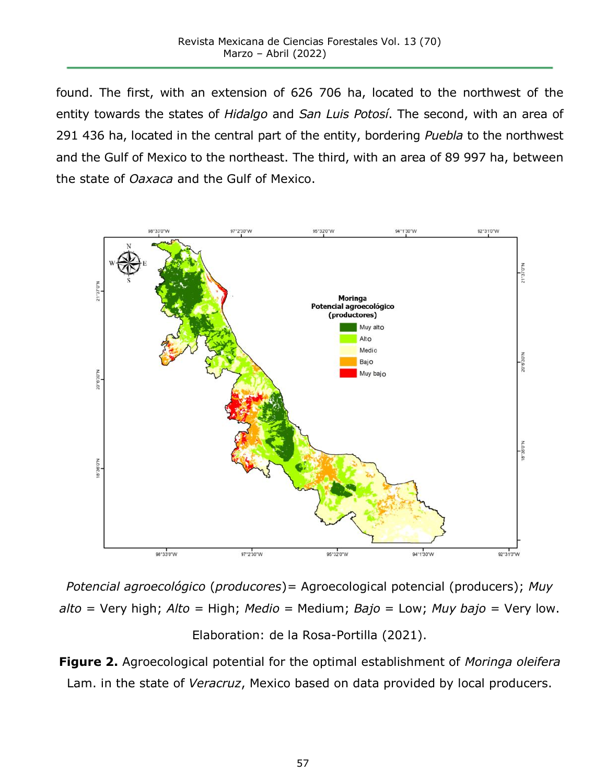found. The first, with an extension of 626 706 ha, located to the northwest of the entity towards the states of *Hidalgo* and *San Luis Potosí*. The second, with an area of 291 436 ha, located in the central part of the entity, bordering *Puebla* to the northwest and the Gulf of Mexico to the northeast. The third, with an area of 89 997 ha, between the state of *Oaxaca* and the Gulf of Mexico.



*Potencial agroecológico* (*producores*)*=* Agroecological potencial (producers); *Muy alto* = Very high; *Alto =* High; *Medio* = Medium; *Bajo* = Low; *Muy bajo* = Very low. Elaboration: de la Rosa-Portilla (2021).

**Figure 2.** Agroecological potential for the optimal establishment of *Moringa oleifera* Lam. in the state of *Veracruz*, Mexico based on data provided by local producers.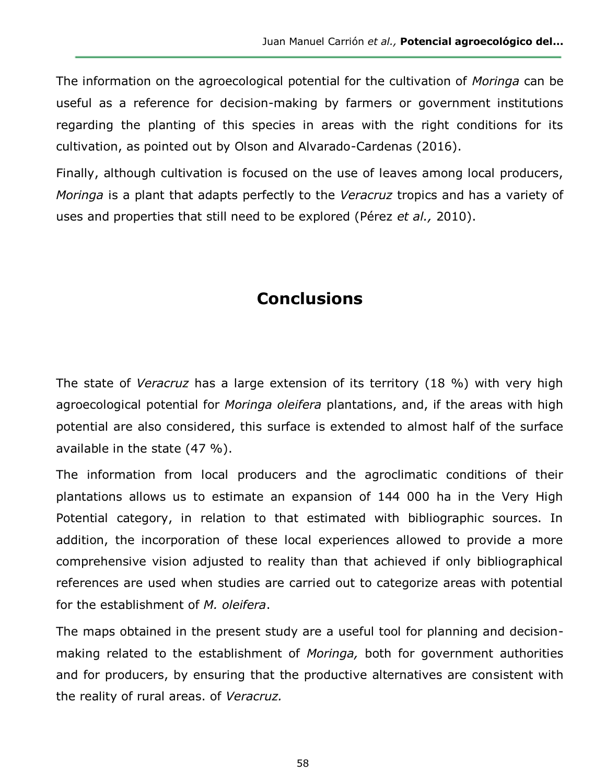The information on the agroecological potential for the cultivation of *Moringa* can be useful as a reference for decision-making by farmers or government institutions regarding the planting of this species in areas with the right conditions for its cultivation, as pointed out by Olson and Alvarado-Cardenas (2016).

Finally, although cultivation is focused on the use of leaves among local producers, *Moringa* is a plant that adapts perfectly to the *Veracruz* tropics and has a variety of uses and properties that still need to be explored (Pérez *et al.,* 2010).

# **Conclusions**

The state of *Veracruz* has a large extension of its territory (18 %) with very high agroecological potential for *Moringa oleifera* plantations, and, if the areas with high potential are also considered, this surface is extended to almost half of the surface available in the state (47 %).

The information from local producers and the agroclimatic conditions of their plantations allows us to estimate an expansion of 144 000 ha in the Very High Potential category, in relation to that estimated with bibliographic sources. In addition, the incorporation of these local experiences allowed to provide a more comprehensive vision adjusted to reality than that achieved if only bibliographical references are used when studies are carried out to categorize areas with potential for the establishment of *M. oleifera*.

The maps obtained in the present study are a useful tool for planning and decisionmaking related to the establishment of *Moringa,* both for government authorities and for producers, by ensuring that the productive alternatives are consistent with the reality of rural areas. of *Veracruz.*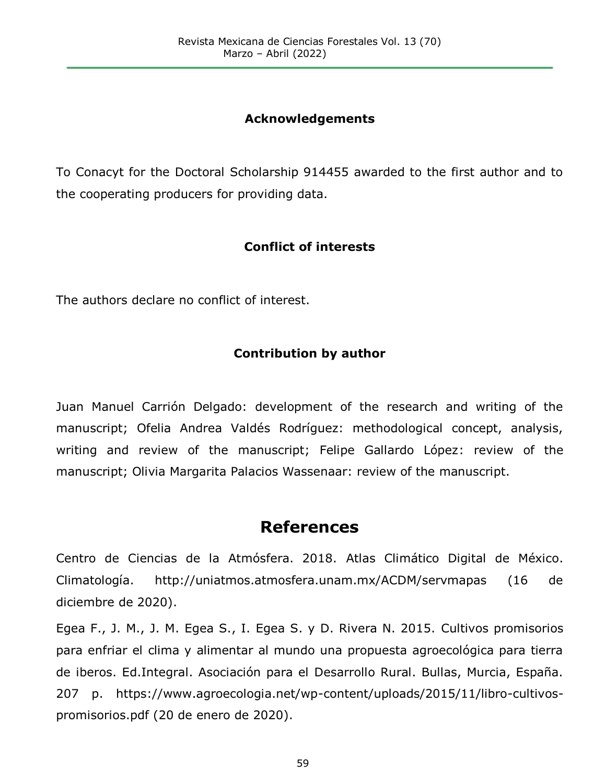### **Acknowledgements**

To Conacyt for the Doctoral Scholarship 914455 awarded to the first author and to the cooperating producers for providing data.

### **Conflict of interests**

The authors declare no conflict of interest.

### **Contribution by author**

Juan Manuel Carrión Delgado: development of the research and writing of the manuscript; Ofelia Andrea Valdés Rodríguez: methodological concept, analysis, writing and review of the manuscript; Felipe Gallardo López: review of the manuscript; Olivia Margarita Palacios Wassenaar: review of the manuscript.

# **References**

Centro de Ciencias de la Atmósfera. 2018. Atlas Climático Digital de México. Climatología. http://uniatmos.atmosfera.unam.mx/ACDM/servmapas (16 de diciembre de 2020).

Egea F., J. M., J. M. Egea S., I. Egea S. y D. Rivera N. 2015. Cultivos promisorios para enfriar el clima y alimentar al mundo una propuesta agroecológica para tierra de iberos. Ed.Integral. Asociación para el Desarrollo Rural. Bullas, Murcia, España. 207 p. https://www.agroecologia.net/wp-content/uploads/2015/11/libro-cultivospromisorios.pdf (20 de enero de 2020).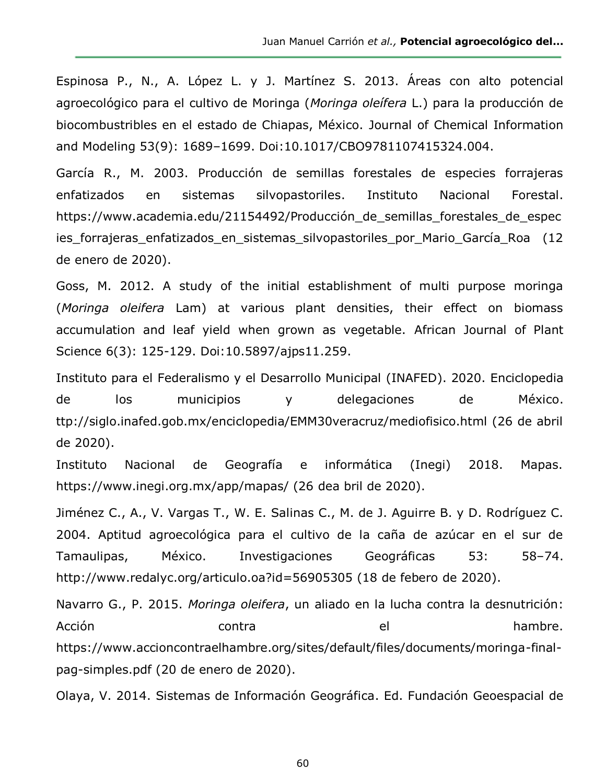Espinosa P., N., A. López L. y J. Martínez S. 2013. Áreas con alto potencial agroecológico para el cultivo de Moringa (*Moringa oleífera* L.) para la producción de biocombustribles en el estado de Chiapas, México. Journal of Chemical Information and Modeling 53(9): 1689–1699. Doi:10.1017/CBO9781107415324.004.

García R., M. 2003. Producción de semillas forestales de especies forrajeras enfatizados en sistemas silvopastoriles. Instituto Nacional Forestal. https://www.academia.edu/21154492/Producción de semillas forestales de espec ies forrajeras enfatizados en sistemas silvopastoriles por Mario García Roa (12 de enero de 2020).

Goss, M. 2012. A study of the initial establishment of multi purpose moringa (*Moringa oleifera* Lam) at various plant densities, their effect on biomass accumulation and leaf yield when grown as vegetable. African Journal of Plant Science 6(3): 125-129. Doi:10.5897/ajps11.259.

Instituto para el Federalismo y el Desarrollo Municipal (INAFED). 2020. Enciclopedia de los municipios y delegaciones de México. ttp://siglo.inafed.gob.mx/enciclopedia/EMM30veracruz/mediofisico.html (26 de abril de 2020).

Instituto Nacional de Geografía e informática (Inegi) 2018. Mapas. https://www.inegi.org.mx/app/mapas/ (26 dea bril de 2020).

Jiménez C., A., V. Vargas T., W. E. Salinas C., M. de J. Aguirre B. y D. Rodríguez C. 2004. Aptitud agroecológica para el cultivo de la caña de azúcar en el sur de Tamaulipas, México. Investigaciones Geográficas 53: 58–74. http://www.redalyc.org/articulo.oa?id=56905305 (18 de febero de 2020).

Navarro G., P. 2015. *Moringa oleifera*, un aliado en la lucha contra la desnutrición: Acción contra el hambre. https://www.accioncontraelhambre.org/sites/default/files/documents/moringa-finalpag-simples.pdf (20 de enero de 2020).

Olaya, V. 2014. Sistemas de Información Geográfica. Ed. Fundación Geoespacial de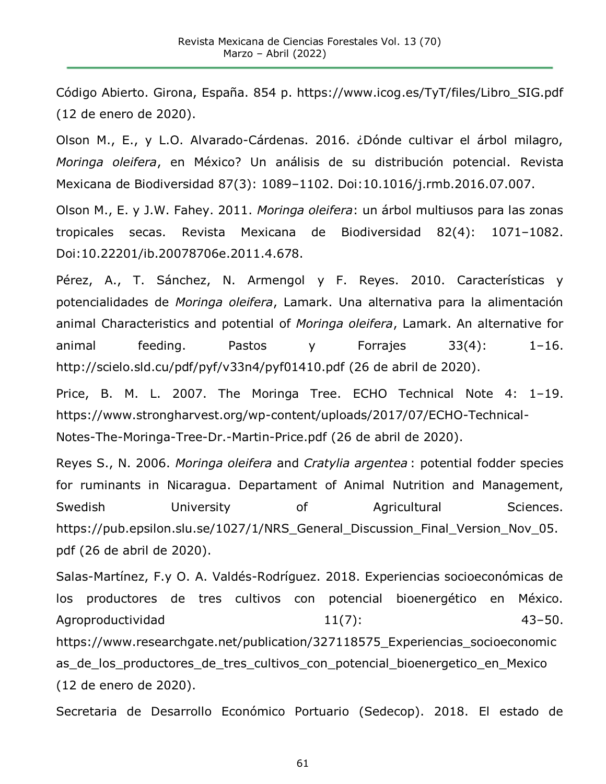Código Abierto. Girona, España. 854 p. https://www.icog.es/TyT/files/Libro\_SIG.pdf (12 de enero de 2020).

Olson M., E., y L.O. Alvarado-Cárdenas. 2016. ¿Dónde cultivar el árbol milagro, *Moringa oleifera*, en México? Un análisis de su distribución potencial. Revista Mexicana de Biodiversidad 87(3): 1089–1102. Doi:10.1016/j.rmb.2016.07.007.

Olson M., E. y J.W. Fahey. 2011. *Moringa oleifera*: un árbol multiusos para las zonas tropicales secas. Revista Mexicana de Biodiversidad 82(4): 1071–1082. Doi:10.22201/ib.20078706e.2011.4.678.

Pérez, A., T. Sánchez, N. Armengol y F. Reyes. 2010. Características y potencialidades de *Moringa oleifera*, Lamark. Una alternativa para la alimentación animal Characteristics and potential of *Moringa oleifera*, Lamark. An alternative for animal feeding. Pastos y Forrajes 33(4): 1–16. http://scielo.sld.cu/pdf/pyf/v33n4/pyf01410.pdf (26 de abril de 2020).

Price, B. M. L. 2007. The Moringa Tree. ECHO Technical Note 4: 1–19. https://www.strongharvest.org/wp-content/uploads/2017/07/ECHO-Technical-Notes-The-Moringa-Tree-Dr.-Martin-Price.pdf (26 de abril de 2020).

Reyes S., N. 2006. *Moringa oleifera* and *Cratylia argentea* : potential fodder species for ruminants in Nicaragua. Departament of Animal Nutrition and Management, Swedish **University** of Agricultural Sciences. https://pub.epsilon.slu.se/1027/1/NRS General Discussion Final Version Nov 05. pdf (26 de abril de 2020).

Salas-Martínez, F.y O. A. Valdés-Rodríguez. 2018. Experiencias socioeconómicas de los productores de tres cultivos con potencial bioenergético en México. Agroproductividad 11(7): 43-50. https://www.researchgate.net/publication/327118575 Experiencias socioeconomic as de los productores de tres cultivos con potencial bioenergetico en Mexico (12 de enero de 2020).

Secretaria de Desarrollo Económico Portuario (Sedecop). 2018. El estado de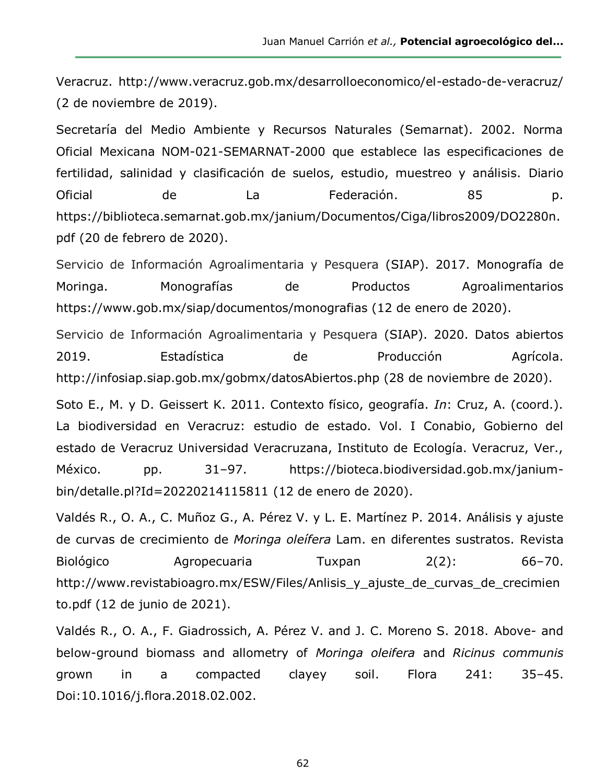Juan Manuel Carrión *et al.,* **Potencial agroecológico del...**

Veracruz. http://www.veracruz.gob.mx/desarrolloeconomico/el-estado-de-veracruz/ (2 de noviembre de 2019).

Secretaría del Medio Ambiente y Recursos Naturales (Semarnat). 2002. Norma Oficial Mexicana NOM-021-SEMARNAT-2000 que establece las especificaciones de fertilidad, salinidad y clasificación de suelos, estudio, muestreo y análisis. Diario Oficial de La Federación. 85 p. https://biblioteca.semarnat.gob.mx/janium/Documentos/Ciga/libros2009/DO2280n. pdf (20 de febrero de 2020).

Servicio de Información Agroalimentaria y Pesquera (SIAP). 2017. Monografía de Moringa. Monografías de Productos Agroalimentarios https://www.gob.mx/siap/documentos/monografias (12 de enero de 2020).

Servicio de Información Agroalimentaria y Pesquera (SIAP). 2020. Datos abiertos 2019. Estadística de Producción Agrícola. http://infosiap.siap.gob.mx/gobmx/datosAbiertos.php (28 de noviembre de 2020).

Soto E., M. y D. Geissert K. 2011. Contexto físico, geografía. *In*: Cruz, A. (coord.). La biodiversidad en Veracruz: estudio de estado. Vol. I Conabio, Gobierno del estado de Veracruz Universidad Veracruzana, Instituto de Ecología. Veracruz, Ver., México. pp. 31–97. https://bioteca.biodiversidad.gob.mx/janiumbin/detalle.pl?Id=20220214115811 (12 de enero de 2020).

Valdés R., O. A., C. Muñoz G., A. Pérez V. y L. E. Martínez P. 2014. Análisis y ajuste de curvas de crecimiento de Moringa oleífera Lam. en diferentes sustratos. Revista Biológico Agropecuaria Tuxpan 2(2): 66–70. http://www.revistabioagro.mx/ESW/Files/Anlisis\_y\_ajuste\_de\_curvas\_de\_crecimien to.pdf (12 de junio de 2021).

Valdés R., O. A., F. Giadrossich, A. Pérez V. and J. C. Moreno S. 2018. Above- and below-ground biomass and allometry of *Moringa oleifera* and *Ricinus communis* grown in a compacted clayey soil. Flora 241: 35–45. Doi:10.1016/j.flora.2018.02.002.